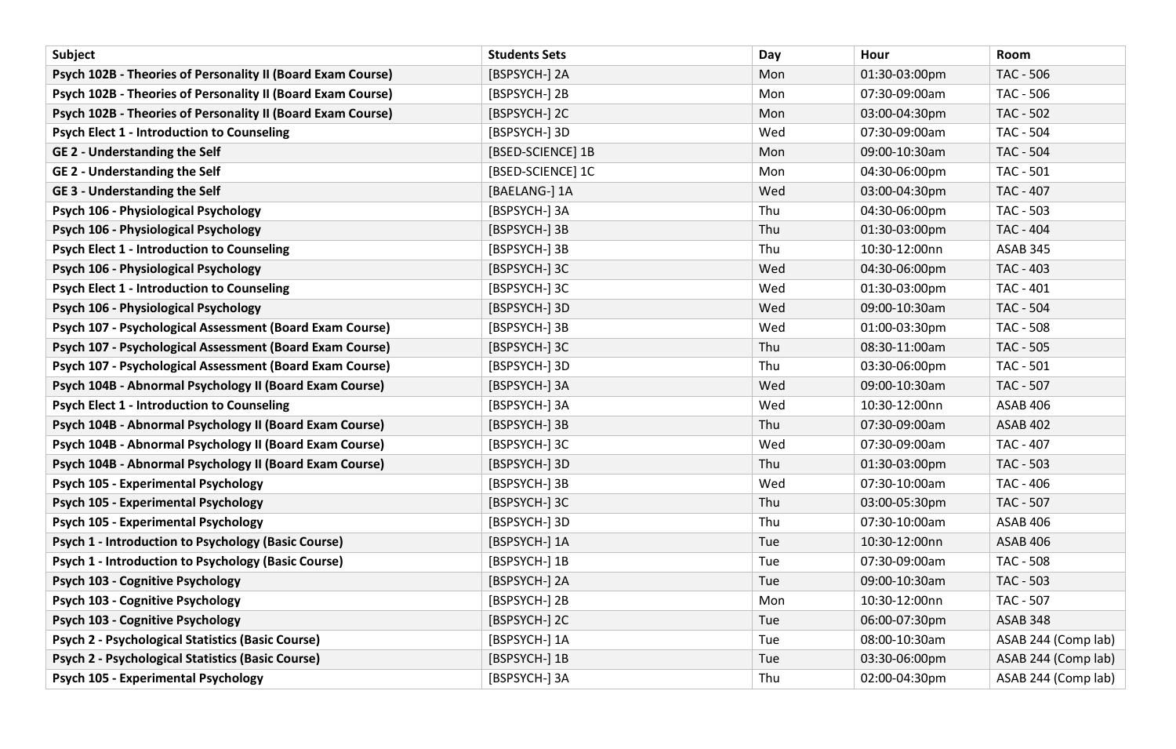| Subject                                                     | <b>Students Sets</b> | Day | Hour          | Room                |
|-------------------------------------------------------------|----------------------|-----|---------------|---------------------|
| Psych 102B - Theories of Personality II (Board Exam Course) | [BSPSYCH-] 2A        | Mon | 01:30-03:00pm | <b>TAC - 506</b>    |
| Psych 102B - Theories of Personality II (Board Exam Course) | [BSPSYCH-] 2B        | Mon | 07:30-09:00am | <b>TAC - 506</b>    |
| Psych 102B - Theories of Personality II (Board Exam Course) | [BSPSYCH-] 2C        | Mon | 03:00-04:30pm | <b>TAC - 502</b>    |
| <b>Psych Elect 1 - Introduction to Counseling</b>           | [BSPSYCH-] 3D        | Wed | 07:30-09:00am | TAC - 504           |
| <b>GE 2 - Understanding the Self</b>                        | [BSED-SCIENCE] 1B    | Mon | 09:00-10:30am | TAC - 504           |
| <b>GE 2 - Understanding the Self</b>                        | [BSED-SCIENCE] 1C    | Mon | 04:30-06:00pm | <b>TAC - 501</b>    |
| <b>GE 3 - Understanding the Self</b>                        | [BAELANG-] 1A        | Wed | 03:00-04:30pm | TAC - 407           |
| Psych 106 - Physiological Psychology                        | [BSPSYCH-] 3A        | Thu | 04:30-06:00pm | <b>TAC - 503</b>    |
| Psych 106 - Physiological Psychology                        | [BSPSYCH-] 3B        | Thu | 01:30-03:00pm | TAC - 404           |
| <b>Psych Elect 1 - Introduction to Counseling</b>           | [BSPSYCH-] 3B        | Thu | 10:30-12:00nn | <b>ASAB 345</b>     |
| Psych 106 - Physiological Psychology                        | [BSPSYCH-] 3C        | Wed | 04:30-06:00pm | TAC - 403           |
| <b>Psych Elect 1 - Introduction to Counseling</b>           | [BSPSYCH-] 3C        | Wed | 01:30-03:00pm | <b>TAC - 401</b>    |
| Psych 106 - Physiological Psychology                        | [BSPSYCH-] 3D        | Wed | 09:00-10:30am | <b>TAC - 504</b>    |
| Psych 107 - Psychological Assessment (Board Exam Course)    | [BSPSYCH-] 3B        | Wed | 01:00-03:30pm | <b>TAC - 508</b>    |
| Psych 107 - Psychological Assessment (Board Exam Course)    | [BSPSYCH-] 3C        | Thu | 08:30-11:00am | <b>TAC - 505</b>    |
| Psych 107 - Psychological Assessment (Board Exam Course)    | [BSPSYCH-] 3D        | Thu | 03:30-06:00pm | <b>TAC - 501</b>    |
| Psych 104B - Abnormal Psychology II (Board Exam Course)     | [BSPSYCH-] 3A        | Wed | 09:00-10:30am | <b>TAC - 507</b>    |
| <b>Psych Elect 1 - Introduction to Counseling</b>           | [BSPSYCH-] 3A        | Wed | 10:30-12:00nn | <b>ASAB 406</b>     |
| Psych 104B - Abnormal Psychology II (Board Exam Course)     | [BSPSYCH-] 3B        | Thu | 07:30-09:00am | <b>ASAB 402</b>     |
| Psych 104B - Abnormal Psychology II (Board Exam Course)     | [BSPSYCH-] 3C        | Wed | 07:30-09:00am | TAC - 407           |
| Psych 104B - Abnormal Psychology II (Board Exam Course)     | [BSPSYCH-] 3D        | Thu | 01:30-03:00pm | TAC - 503           |
| Psych 105 - Experimental Psychology                         | [BSPSYCH-] 3B        | Wed | 07:30-10:00am | TAC - 406           |
| Psych 105 - Experimental Psychology                         | [BSPSYCH-] 3C        | Thu | 03:00-05:30pm | TAC - 507           |
| Psych 105 - Experimental Psychology                         | [BSPSYCH-] 3D        | Thu | 07:30-10:00am | <b>ASAB 406</b>     |
| <b>Psych 1 - Introduction to Psychology (Basic Course)</b>  | [BSPSYCH-] 1A        | Tue | 10:30-12:00nn | <b>ASAB 406</b>     |
| <b>Psych 1 - Introduction to Psychology (Basic Course)</b>  | [BSPSYCH-] 1B        | Tue | 07:30-09:00am | <b>TAC - 508</b>    |
| Psych 103 - Cognitive Psychology                            | [BSPSYCH-] 2A        | Tue | 09:00-10:30am | TAC - 503           |
| Psych 103 - Cognitive Psychology                            | [BSPSYCH-] 2B        | Mon | 10:30-12:00nn | TAC - 507           |
| <b>Psych 103 - Cognitive Psychology</b>                     | [BSPSYCH-] 2C        | Tue | 06:00-07:30pm | <b>ASAB 348</b>     |
| Psych 2 - Psychological Statistics (Basic Course)           | [BSPSYCH-] 1A        | Tue | 08:00-10:30am | ASAB 244 (Comp lab) |
| <b>Psych 2 - Psychological Statistics (Basic Course)</b>    | [BSPSYCH-] 1B        | Tue | 03:30-06:00pm | ASAB 244 (Comp lab) |
| <b>Psych 105 - Experimental Psychology</b>                  | [BSPSYCH-] 3A        | Thu | 02:00-04:30pm | ASAB 244 (Comp lab) |